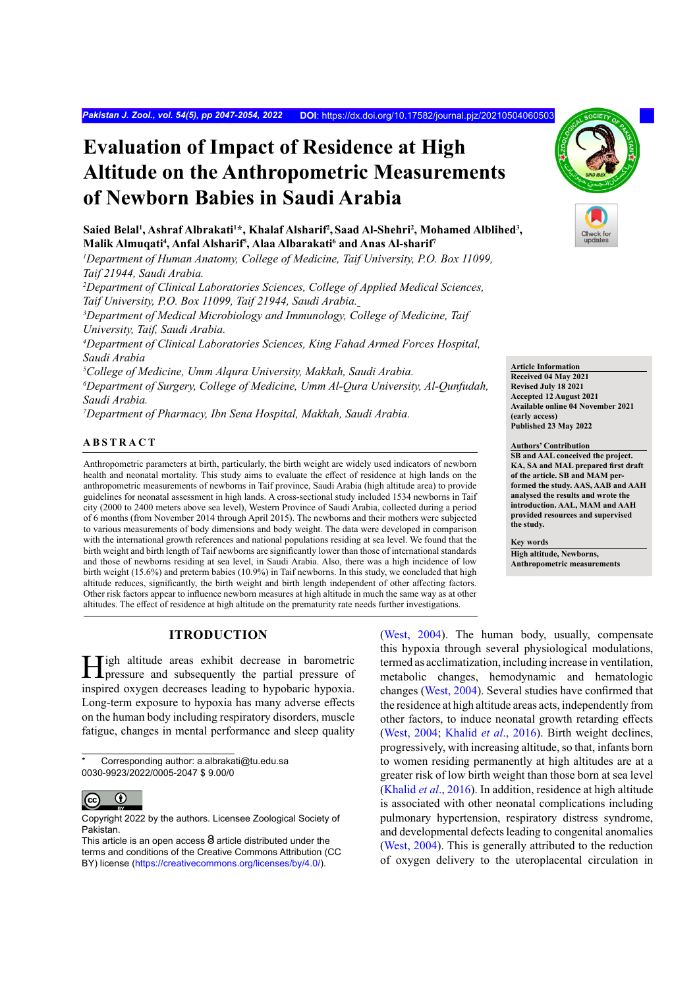*Pakistan J. Zool., vol. 54(5), pp 2047-2054, 2022* **DOI**:<https://dx.doi.org/10.17582/journal.pjz/20210504060503>

# **Evaluation of Impact of Residence at High Altitude on the Anthropometric Measurements of Newborn Babies in Saudi Arabia**

 $\mathbf{S}$ aied Belal<sup>ı</sup>, Ashraf Albrakati<sup>1\*</sup>, Khalaf Alsharif<sup>2</sup>, Saad Al-Shehri<sup>2</sup>, Mohamed Alblihed<sup>3</sup>, **Malik Almuqati4 , Anfal Alsharif5 , Alaa Albarakati6 and Anas Al-sharif7**

*1 Department of Human Anatomy, College of Medicine, Taif University, P.O. Box 11099, Taif 21944, Saudi Arabia.*

*2 Department of Clinical Laboratories Sciences, College of Applied Medical Sciences, Taif University, P.O. Box 11099, Taif 21944, Saudi Arabia.*

*3 Department of Medical Microbiology and Immunology, College of Medicine, Taif University, Taif, Saudi Arabia.*

*4 Department of Clinical Laboratories Sciences, King Fahad Armed Forces Hospital, Saudi Arabia* 

*5 College of Medicine, Umm Alqura University, Makkah, Saudi Arabia.*

*6 Department of Surgery, College of Medicine, Umm Al-Qura University, Al-Qunfudah, Saudi Arabia.*

*7 Department of Pharmacy, Ibn Sena Hospital, Makkah, Saudi Arabia.*

# **ABSTRACT**

Anthropometric parameters at birth, particularly, the birth weight are widely used indicators of newborn health and neonatal mortality. This study aims to evaluate the effect of residence at high lands on the anthropometric measurements of newborns in Taif province, Saudi Arabia (high altitude area) to provide guidelines for neonatal assessment in high lands. A cross-sectional study included 1534 newborns in Taif city (2000 to 2400 meters above sea level), Western Province of Saudi Arabia, collected during a period of 6 months (from November 2014 through April 2015). The newborns and their mothers were subjected to various measurements of body dimensions and body weight. The data were developed in comparison with the international growth references and national populations residing at sea level. We found that the birth weight and birth length of Taif newborns are significantly lower than those of international standards and those of newborns residing at sea level, in Saudi Arabia. Also, there was a high incidence of low birth weight (15.6%) and preterm babies (10.9%) in Taif newborns. In this study, we concluded that high altitude reduces, significantly, the birth weight and birth length independent of other affecting factors. Other risk factors appear to influence newborn measures at high altitude in much the same way as at other altitudes. The effect of residence at high altitude on the prematurity rate needs further investigations.

# **ITRODUCTION**

High altitude areas exhibit decrease in barometric pressure and subsequently the partial pressure of inspired oxygen decreases leading to hypobaric hypoxia. Long-term exposure to hypoxia has many adverse effects on the human body including respiratory disorders, muscle fatigue, changes in mental performance and sleep quality

Corresponding author: a.albrakati@tu.edu.sa 0030-9923/2022/0005-2047 \$ 9.00/0



Copyright 2022 by the authors. Licensee Zoological Society of Pakistan.

[\(West, 2004\)](#page-7-0). The human body, usually, compensate this hypoxia through several physiological modulations, termed as acclimatization, including increase in ventilation, metabolic changes, hemodynamic and hematologic changes ([West, 2004](#page-7-0)). Several studies have confirmed that the residence at high altitude areas acts, independently from other factors, to induce neonatal growth retarding effects [\(West, 2004](#page-7-0); [Khalid](#page-6-0) *et al*., 2016). Birth weight declines, progressively, with increasing altitude, so that, infants born to women residing permanently at high altitudes are at a greater risk of low birth weight than those born at sea level [\(Khalid](#page-6-0) *et al*., 2016). In addition, residence at high altitude is associated with other neonatal complications including pulmonary hypertension, respiratory distress syndrome, and developmental defects leading to congenital anomalies [\(West, 2004](#page-7-0)). This is generally attributed to the reduction of oxygen delivery to the uteroplacental circulation in

**Article Information Received 04 May 2021 Revised July 18 2021 Accepted 12 August 2021 Available online 04 November 2021 (early access) Published 23 May 2022**

**Authors' Contribution SB and AAL conceived the project. KA, SA and MAL prepared first draft of the article. SB and MAM performed the study. AAS, AAB and AAH analysed the results and wrote the introduction. AAL, MAM and AAH provided resources and supervised the study.**

**Key words High altitude, Newborns, Anthropometric measurements**

This article is an open access  $\Theta$  article distributed under the terms and conditions of the Creative Commons Attribution (CC BY) license (https://creativecommons.org/licenses/by/4.0/).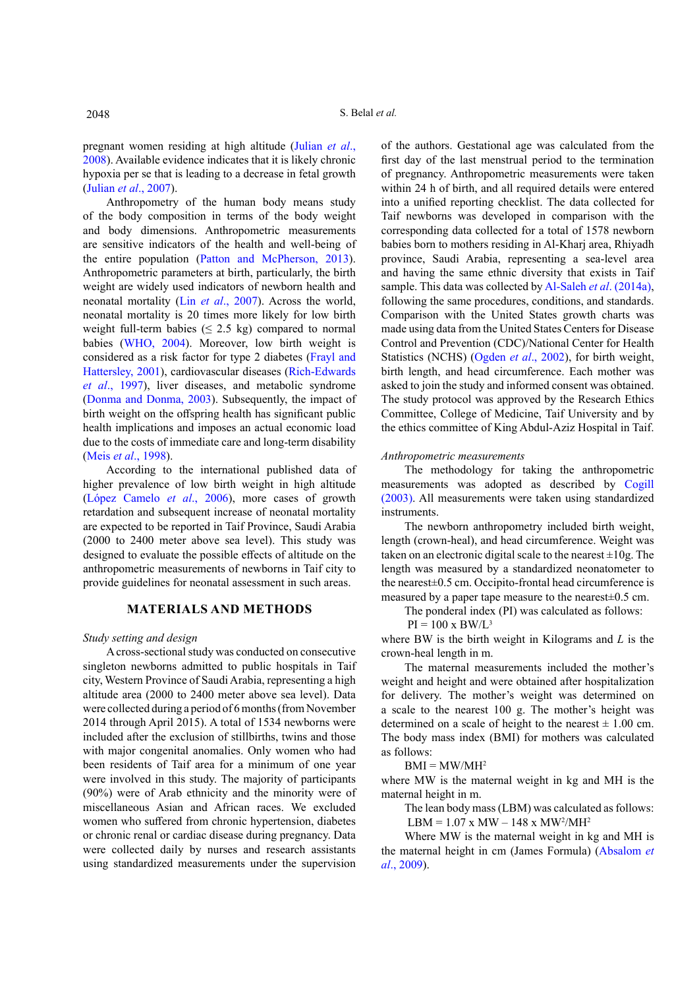pregnant women residing at high altitude ([Julian](#page-6-1) *et al*., [2008\)](#page-6-1). Available evidence indicates that it is likely chronic hypoxia per se that is leading to a decrease in fetal growth (Julian *et al*[., 2007](#page-6-2)).

Anthropometry of the human body means study of the body composition in terms of the body weight and body dimensions. Anthropometric measurements are sensitive indicators of the health and well-being of the entire population ([Patton and McPherson, 2013](#page-7-1)). Anthropometric parameters at birth, particularly, the birth weight are widely used indicators of newborn health and neonatal mortality (Lin *et al*[., 2007](#page-6-3)). Across the world, neonatal mortality is 20 times more likely for low birth weight full-term babies ( $\leq$  2.5 kg) compared to normal babies ([WHO, 2004\)](#page-7-2). Moreover, low birth weight is considered as a risk factor for type 2 diabetes [\(Frayl and](#page-6-4) [Hattersley, 2001\)](#page-6-4), cardiovascular diseases ([Rich-Edwards](#page-7-3) *et al*[., 1997](#page-7-3)), liver diseases, and metabolic syndrome [\(Donma and Donma, 2003](#page-6-5)). Subsequently, the impact of birth weight on the offspring health has significant public health implications and imposes an actual economic load due to the costs of immediate care and long-term disability (Meis *et al*[., 1998\)](#page-6-6).

According to the international published data of higher prevalence of low birth weight in high altitude (López Camelo *et al*., 2006), more cases of growth retardation and subsequent increase of neonatal mortality are expected to be reported in Taif Province, Saudi Arabia (2000 to 2400 meter above sea level). This study was designed to evaluate the possible effects of altitude on the anthropometric measurements of newborns in Taif city to provide guidelines for neonatal assessment in such areas.

### **MATERIALS AND METHODS**

#### *Study setting and design*

A cross-sectional study was conducted on consecutive singleton newborns admitted to public hospitals in Taif city, Western Province of Saudi Arabia, representing a high altitude area (2000 to 2400 meter above sea level). Data were collected during a period of 6 months (from November 2014 through April 2015). A total of 1534 newborns were included after the exclusion of stillbirths, twins and those with major congenital anomalies. Only women who had been residents of Taif area for a minimum of one year were involved in this study. The majority of participants (90%) were of Arab ethnicity and the minority were of miscellaneous Asian and African races. We excluded women who suffered from chronic hypertension, diabetes or chronic renal or cardiac disease during pregnancy. Data were collected daily by nurses and research assistants using standardized measurements under the supervision

of the authors. Gestational age was calculated from the first day of the last menstrual period to the termination of pregnancy. Anthropometric measurements were taken within 24 h of birth, and all required details were entered into a unified reporting checklist. The data collected for Taif newborns was developed in comparison with the corresponding data collected for a total of 1578 newborn babies born to mothers residing in Al-Kharj area, Rhiyadh province, Saudi Arabia, representing a sea-level area and having the same ethnic diversity that exists in Taif sample. This data was collected by [Al-Saleh](#page-5-0) *et al*. (2014a), following the same procedures, conditions, and standards. Comparison with the United States growth charts was made using data from the United States Centers for Disease Control and Prevention (CDC)/National Center for Health Statistics (NCHS) [\(Ogden](#page-7-4) *et al*., 2002), for birth weight, birth length, and head circumference. Each mother was asked to join the study and informed consent was obtained. The study protocol was approved by the Research Ethics Committee, College of Medicine, Taif University and by the ethics committee of King Abdul-Aziz Hospital in Taif.

#### *Anthropometric measurements*

The methodology for taking the anthropometric measurements was adopted as described by [Cogill](#page-6-7) [\(2003\)](#page-6-7). All measurements were taken using standardized instruments.

The newborn anthropometry included birth weight, length (crown-heal), and head circumference. Weight was taken on an electronic digital scale to the nearest  $\pm 10$ g. The length was measured by a standardized neonatometer to the nearest±0.5 cm. Occipito-frontal head circumference is measured by a paper tape measure to the nearest±0.5 cm.

The ponderal index (PI) was calculated as follows:

 $PI = 100 \text{ x } BW/L^3$ 

where BW is the birth weight in Kilograms and *L* is the crown-heal length in m.

The maternal measurements included the mother's weight and height and were obtained after hospitalization for delivery. The mother's weight was determined on a scale to the nearest 100 g. The mother's height was determined on a scale of height to the nearest  $\pm$  1.00 cm. The body mass index (BMI) for mothers was calculated as follows:

 $BMI = MW/MH<sup>2</sup>$ 

where MW is the maternal weight in kg and MH is the maternal height in m.

The lean body mass (LBM) was calculated as follows:

LBM =  $1.07$  x MW –  $148$  x MW<sup>2</sup>/MH<sup>2</sup>

Where MW is the maternal weight in kg and MH is the maternal height in cm (James Formula) [\(Absalom](#page-5-1) *et al*[., 2009](#page-5-1)).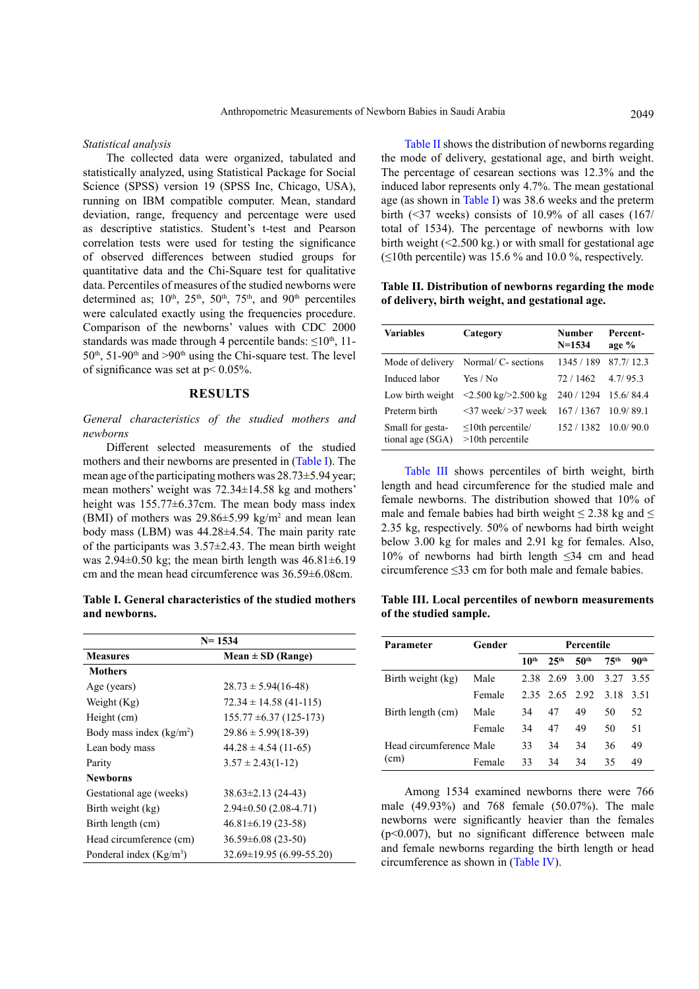*Statistical analysis*

The collected data were organized, tabulated and statistically analyzed, using Statistical Package for Social Science (SPSS) version 19 (SPSS Inc, Chicago, USA), running on IBM compatible computer. Mean, standard deviation, range, frequency and percentage were used as descriptive statistics. Student's t-test and Pearson correlation tests were used for testing the significance of observed differences between studied groups for quantitative data and the Chi-Square test for qualitative data. Percentiles of measures of the studied newborns were determined as;  $10^{th}$ ,  $25^{th}$ ,  $50^{th}$ ,  $75^{th}$ , and  $90^{th}$  percentiles were calculated exactly using the frequencies procedure. Comparison of the newborns' values with CDC 2000 standards was made through 4 percentile bands:  $\leq 10^{th}$ , 11- $50<sup>th</sup>$ , 51-90<sup>th</sup> and  $>90<sup>th</sup>$  using the Chi-square test. The level of significance was set at p< 0.05%.

## **RESULTS**

*General characteristics of the studied mothers and newborns*

Different selected measurements of the studied mothers and their newborns are presented in (Table I). The mean age of the participating mothers was 28.73±5.94 year; mean mothers' weight was 72.34±14.58 kg and mothers' height was 155.77±6.37cm. The mean body mass index (BMI) of mothers was  $29.86 \pm 5.99$  kg/m<sup>2</sup> and mean lean body mass (LBM) was 44.28±4.54. The main parity rate of the participants was 3.57±2.43. The mean birth weight was  $2.94\pm0.50$  kg; the mean birth length was  $46.81\pm6.19$ cm and the mean head circumference was 36.59±6.08cm.

**Table I. General characteristics of the studied mothers and newborns.**

| $N = 1534$                |                                 |  |  |  |  |
|---------------------------|---------------------------------|--|--|--|--|
| <b>Measures</b>           | Mean $\pm$ SD (Range)           |  |  |  |  |
| <b>Mothers</b>            |                                 |  |  |  |  |
| Age (years)               | $28.73 \pm 5.94(16-48)$         |  |  |  |  |
| Weight $(Kg)$             | $72.34 \pm 14.58$ (41-115)      |  |  |  |  |
| Height (cm)               | $155.77 \pm 6.37 (125 - 173)$   |  |  |  |  |
| Body mass index $(kg/m2)$ | $29.86 \pm 5.99(18-39)$         |  |  |  |  |
| Lean body mass            | $44.28 \pm 4.54$ (11-65)        |  |  |  |  |
| Parity                    | $3.57 \pm 2.43(1-12)$           |  |  |  |  |
| <b>Newborns</b>           |                                 |  |  |  |  |
| Gestational age (weeks)   | $38.63 \pm 2.13$ (24-43)        |  |  |  |  |
| Birth weight (kg)         | $2.94\pm0.50(2.08-4.71)$        |  |  |  |  |
| Birth length (cm)         | $46.81 \pm 6.19$ (23-58)        |  |  |  |  |
| Head circumference (cm)   | $36.59 \pm 6.08$ (23-50)        |  |  |  |  |
| Ponderal index $(Kg/m3)$  | $32.69 \pm 19.95(6.99 - 55.20)$ |  |  |  |  |

Table II shows the distribution of newborns regarding the mode of delivery, gestational age, and birth weight. The percentage of cesarean sections was 12.3% and the induced labor represents only 4.7%. The mean gestational age (as shown in Table I) was 38.6 weeks and the preterm birth  $(\leq 37$  weeks) consists of 10.9% of all cases  $(167)$ total of 1534). The percentage of newborns with low birth weight (<2.500 kg.) or with small for gestational age  $(\leq 10$ th percentile) was 15.6 % and 10.0 %, respectively.

**Table II. Distribution of newborns regarding the mode of delivery, birth weight, and gestational age.**

| Variables                            | Category                                              | Number<br>$N = 1534$ | Percent-<br>age % |  |
|--------------------------------------|-------------------------------------------------------|----------------------|-------------------|--|
| Mode of delivery                     | Normal/ C- sections                                   | 1345 / 189           | 87.7/12.3         |  |
| Induced labor                        | Yes / No                                              | 72 / 1462            | 4.7/95.3          |  |
| Low birth weight                     | $\langle 2.500 \text{ kg} / 2.500 \text{ kg} \rangle$ | 240 / 1294           | 15.6/84.4         |  |
| Preterm birth                        | $\langle 37 \text{ week} / 237 \text{ week} \rangle$  | 167 / 1367           | 10.9/89.1         |  |
| Small for gesta-<br>tional age (SGA) | $\leq 10$ th percentile/<br>$>10$ th percentile       | 152/1382             | 10.0/90.0         |  |

Table III shows percentiles of birth weight, birth length and head circumference for the studied male and female newborns. The distribution showed that 10% of male and female babies had birth weight  $\leq$  2.38 kg and  $\leq$ 2.35 kg, respectively. 50% of newborns had birth weight below 3.00 kg for males and 2.91 kg for females. Also, 10% of newborns had birth length ≤34 cm and head circumference ≤33 cm for both male and female babies.

**Table III. Local percentiles of newborn measurements of the studied sample.**

| Parameter               | Gender | Percentile       |                  |                     |                  |                  |  |
|-------------------------|--------|------------------|------------------|---------------------|------------------|------------------|--|
|                         |        | 10 <sup>th</sup> | 25 <sup>th</sup> | 50 <sup>th</sup>    | 75 <sup>th</sup> | 90 <sup>th</sup> |  |
| Birth weight (kg)       | Male   | 238              | 2.69             | 3.00                | 3.27             | 3.55             |  |
|                         | Female |                  |                  | 2.35 2.65 2.92 3.18 |                  | 3.51             |  |
| Birth length (cm)       | Male   | 34               | 47               | 49                  | 50               | 52               |  |
|                         | Female | 34               | 47               | 49                  | 50               | 51               |  |
| Head circumference Male |        | 33               | 34               | 34                  | 36               | 49               |  |
| (cm)                    | Female | 33               | 34               | 34                  | 35               | 49               |  |

Among 1534 examined newborns there were 766 male (49.93%) and 768 female (50.07%). The male newborns were significantly heavier than the females (p<0.007), but no significant difference between male and female newborns regarding the birth length or head circumference as shown in (Table IV).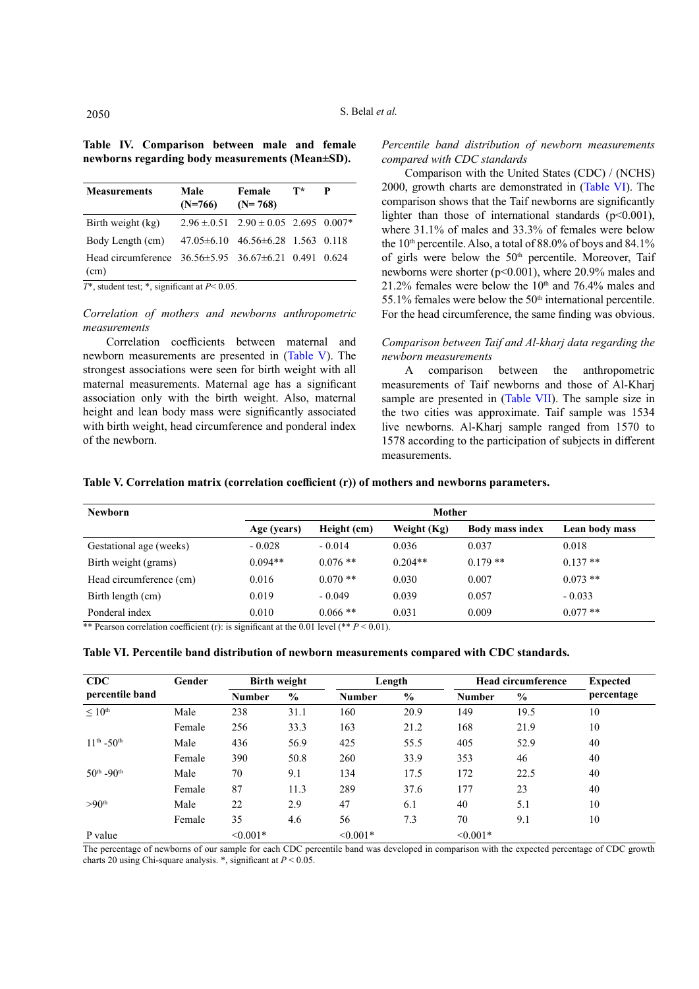|  | Table IV. Comparison between male and female    |  |  |
|--|-------------------------------------------------|--|--|
|  | newborns regarding body measurements (Mean±SD). |  |  |

| <b>Measurements</b>                                                      | Male<br>$(N=766)$ | Female<br>$(N=768)$                              | $T^*$ | P |
|--------------------------------------------------------------------------|-------------------|--------------------------------------------------|-------|---|
| Birth weight (kg)                                                        |                   | $2.96 \pm 0.51$ $2.90 \pm 0.05$ $2.695$ $0.007*$ |       |   |
| Body Length (cm)                                                         |                   | $47.05\pm6.10$ $46.56\pm6.28$ 1.563 0.118        |       |   |
| Head circumference $36.56 \pm 5.95$ $36.67 \pm 6.21$ 0.491 0.624<br>(cm) |                   |                                                  |       |   |

*T*\*, student test; \*, significant at *P*< 0.05.

*Correlation of mothers and newborns anthropometric measurements*

Correlation coefficients between maternal and newborn measurements are presented in (Table V). The strongest associations were seen for birth weight with all maternal measurements. Maternal age has a significant association only with the birth weight. Also, maternal height and lean body mass were significantly associated with birth weight, head circumference and ponderal index of the newborn.

# *Percentile band distribution of newborn measurements compared with CDC standards*

Comparison with the United States (CDC) / (NCHS) 2000, growth charts are demonstrated in (Table VI). The comparison shows that the Taif newborns are significantly lighter than those of international standards  $(p<0.001)$ , where 31.1% of males and 33.3% of females were below the  $10<sup>th</sup>$  percentile. Also, a total of 88.0% of boys and 84.1% of girls were below the 50<sup>th</sup> percentile. Moreover, Taif newborns were shorter (p<0.001), where 20.9% males and 21.2% females were below the  $10<sup>th</sup>$  and 76.4% males and 55.1% females were below the  $50<sup>th</sup>$  international percentile. For the head circumference, the same finding was obvious.

# *Comparison between Taif and Al-kharj data regarding the newborn measurements*

A comparison between the anthropometric measurements of Taif newborns and those of Al-Kharj sample are presented in (Table VII). The sample size in the two cities was approximate. Taif sample was 1534 live newborns. Al-Kharj sample ranged from 1570 to 1578 according to the participation of subjects in different measurements.

**Table V. Correlation matrix (correlation coefficient (r)) of mothers and newborns parameters.**

| <b>Newborn</b>          | Mother      |             |             |                        |                |  |  |  |
|-------------------------|-------------|-------------|-------------|------------------------|----------------|--|--|--|
|                         | Age (years) | Height (cm) | Weight (Kg) | <b>Body mass index</b> | Lean body mass |  |  |  |
| Gestational age (weeks) | $-0.028$    | $-0.014$    | 0.036       | 0.037                  | 0.018          |  |  |  |
| Birth weight (grams)    | $0.094**$   | $0.076$ **  | $0.204**$   | $0.179**$              | $0.137**$      |  |  |  |
| Head circumference (cm) | 0.016       | $0.070**$   | 0.030       | 0.007                  | $0.073$ **     |  |  |  |
| Birth length (cm)       | 0.019       | $-0.049$    | 0.039       | 0.057                  | $-0.033$       |  |  |  |
| Ponderal index          | 0.010       | $0.066$ **  | 0.031       | 0.009                  | $0.077$ **     |  |  |  |

\*\* Pearson correlation coefficient (r): is significant at the 0.01 level (\*\*  $P < 0.01$ ).

|  |  |  |  |  |  | Table VI. Percentile band distribution of newborn measurements compared with CDC standards. |
|--|--|--|--|--|--|---------------------------------------------------------------------------------------------|
|--|--|--|--|--|--|---------------------------------------------------------------------------------------------|

| CDC                         | Gender | <b>Birth weight</b> |      |               | Length        |               | <b>Head circumference</b> |            |
|-----------------------------|--------|---------------------|------|---------------|---------------|---------------|---------------------------|------------|
| percentile band             |        | <b>Number</b>       | $\%$ | <b>Number</b> | $\frac{0}{0}$ | <b>Number</b> | $\frac{0}{0}$             | percentage |
| $\leq 10^{\text{th}}$       | Male   | 238                 | 31.1 | 160           | 20.9          | 149           | 19.5                      | 10         |
|                             | Female | 256                 | 33.3 | 163           | 21.2          | 168           | 21.9                      | 10         |
| $11^{th} - 50^{th}$         | Male   | 436                 | 56.9 | 425           | 55.5          | 405           | 52.9                      | 40         |
|                             | Female | 390                 | 50.8 | 260           | 33.9          | 353           | 46                        | 40         |
| $50^{th}$ -90 <sup>th</sup> | Male   | 70                  | 9.1  | 134           | 17.5          | 172           | 22.5                      | 40         |
|                             | Female | 87                  | 11.3 | 289           | 37.6          | 177           | 23                        | 40         |
| >90 <sup>th</sup>           | Male   | 22                  | 2.9  | 47            | 6.1           | 40            | 5.1                       | 10         |
|                             | Female | 35                  | 4.6  | 56            | 7.3           | 70            | 9.1                       | 10         |
| P value                     |        | $\leq 0.001*$       |      | $\leq 0.001*$ |               | $\leq 0.001*$ |                           |            |

The percentage of newborns of our sample for each CDC percentile band was developed in comparison with the expected percentage of CDC growth charts 20 using Chi-square analysis.  $*$ , significant at  $P < 0.05$ .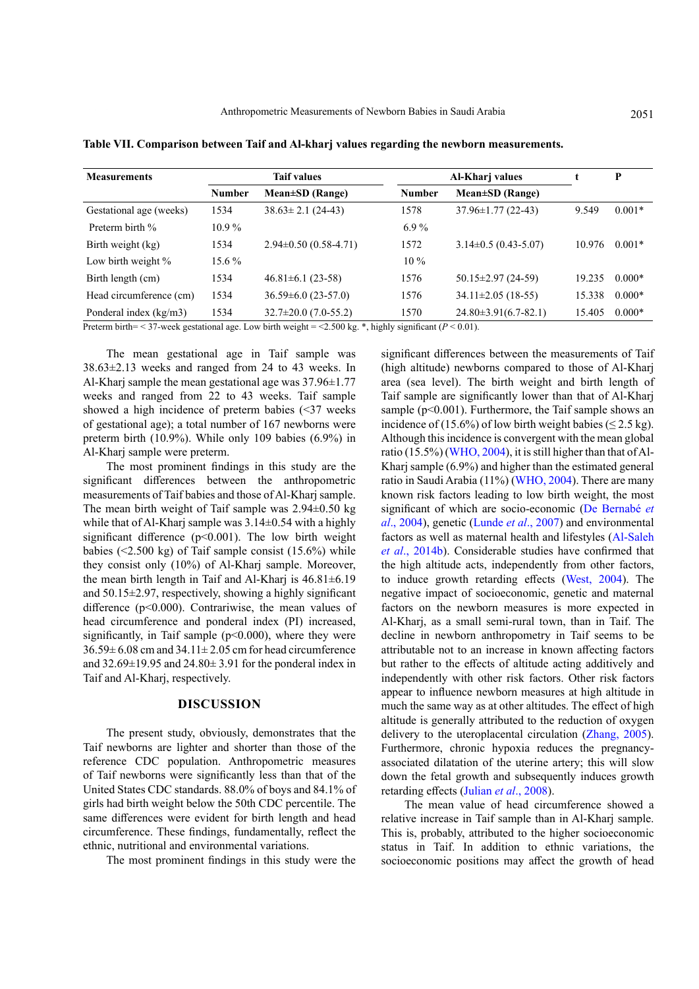| <b>Measurements</b>     | <b>Taif values</b> |                            |               | Al-Kharj values          |        | P        |
|-------------------------|--------------------|----------------------------|---------------|--------------------------|--------|----------|
|                         | <b>Number</b>      | $Mean \pm SD$ (Range)      | <b>Number</b> | Mean±SD (Range)          |        |          |
| Gestational age (weeks) | 1534               | $38.63 \pm 2.1$ (24-43)    | 1578          | $37.96 \pm 1.77$ (22-43) | 9.549  | $0.001*$ |
| Preterm birth %         | $10.9\%$           |                            | $6.9\%$       |                          |        |          |
| Birth weight (kg)       | 1534               | $2.94\pm0.50(0.58-4.71)$   | 1572          | $3.14\pm0.5(0.43-5.07)$  | 10.976 | $0.001*$ |
| Low birth weight %      | 15.6 %             |                            | $10\%$        |                          |        |          |
| Birth length (cm)       | 1534               | $46.81 \pm 6.1$ (23-58)    | 1576          | $50.15 \pm 2.97$ (24-59) | 19.235 | $0.000*$ |
| Head circumference (cm) | 1534               | $36.59 \pm 6.0$ (23-57.0)  | 1576          | $34.11 \pm 2.05$ (18-55) | 15.338 | $0.000*$ |
| Ponderal index (kg/m3)  | 1534               | $32.7 \pm 20.0$ (7.0-55.2) | 1570          | $24.80\pm3.91(6.7-82.1)$ | 15.405 | $0.000*$ |

**Table VII. Comparison between Taif and Al-kharj values regarding the newborn measurements.**

Preterm birth= < 37-week gestational age. Low birth weight = <2.500 kg. \*, highly significant (*P* < 0.01).

The mean gestational age in Taif sample was 38.63±2.13 weeks and ranged from 24 to 43 weeks. In Al-Kharj sample the mean gestational age was 37.96±1.77 weeks and ranged from 22 to 43 weeks. Taif sample showed a high incidence of preterm babies (<37 weeks of gestational age); a total number of 167 newborns were preterm birth (10.9%). While only 109 babies (6.9%) in Al-Kharj sample were preterm.

The most prominent findings in this study are the significant differences between the anthropometric measurements of Taif babies and those of Al-Kharj sample. The mean birth weight of Taif sample was  $2.94\pm0.50$  kg while that of Al-Kharj sample was  $3.14\pm0.54$  with a highly significant difference  $(p<0.001)$ . The low birth weight babies  $(\leq 2.500 \text{ kg})$  of Taif sample consist  $(15.6\%)$  while they consist only (10%) of Al-Kharj sample. Moreover, the mean birth length in Taif and Al-Kharj is  $46.81 \pm 6.19$ and 50.15±2.97, respectively, showing a highly significant difference (p<0.000). Contrariwise, the mean values of head circumference and ponderal index (PI) increased, significantly, in Taif sample ( $p<0.000$ ), where they were  $36.59\pm 6.08$  cm and  $34.11\pm 2.05$  cm for head circumference and  $32.69\pm19.95$  and  $24.80\pm3.91$  for the ponderal index in Taif and Al-Kharj, respectively.

## **DISCUSSION**

The present study, obviously, demonstrates that the Taif newborns are lighter and shorter than those of the reference CDC population. Anthropometric measures of Taif newborns were significantly less than that of the United States CDC standards. 88.0% of boys and 84.1% of girls had birth weight below the 50th CDC percentile. The same differences were evident for birth length and head circumference. These findings, fundamentally, reflect the ethnic, nutritional and environmental variations.

The most prominent findings in this study were the

significant differences between the measurements of Taif (high altitude) newborns compared to those of Al-Kharj area (sea level). The birth weight and birth length of Taif sample are significantly lower than that of Al-Kharj sample ( $p$ <0.001). Furthermore, the Taif sample shows an incidence of (15.6%) of low birth weight babies ( $\leq$  2.5 kg). Although this incidence is convergent with the mean global ratio (15.5%) ([WHO, 2004\)](#page-7-2), it is still higher than that of Al-Kharj sample (6.9%) and higher than the estimated general ratio in Saudi Arabia (11%) ([WHO, 2004](#page-7-2)). There are many known risk factors leading to low birth weight, the most significant of which are socio-economic (De Bernabé *et al*., 2004), genetic (Lunde *et al*., 2007) and environmental factors as well as maternal health and lifestyles ([Al-Saleh](#page-5-0) *et al*[., 2014b](#page-5-0)). Considerable studies have confirmed that the high altitude acts, independently from other factors, to induce growth retarding effects ([West, 2004](#page-7-0)). The negative impact of socioeconomic, genetic and maternal factors on the newborn measures is more expected in Al-Kharj, as a small semi-rural town, than in Taif. The decline in newborn anthropometry in Taif seems to be attributable not to an increase in known affecting factors but rather to the effects of altitude acting additively and independently with other risk factors. Other risk factors appear to influence newborn measures at high altitude in much the same way as at other altitudes. The effect of high altitude is generally attributed to the reduction of oxygen delivery to the uteroplacental circulation [\(Zhang, 2005](#page-7-5)). Furthermore, chronic hypoxia reduces the pregnancyassociated dilatation of the uterine artery; this will slow down the fetal growth and subsequently induces growth retarding effects (Julian *et al*[., 2008\)](#page-6-1).

The mean value of head circumference showed a relative increase in Taif sample than in Al-Kharj sample. This is, probably, attributed to the higher socioeconomic status in Taif. In addition to ethnic variations, the socioeconomic positions may affect the growth of head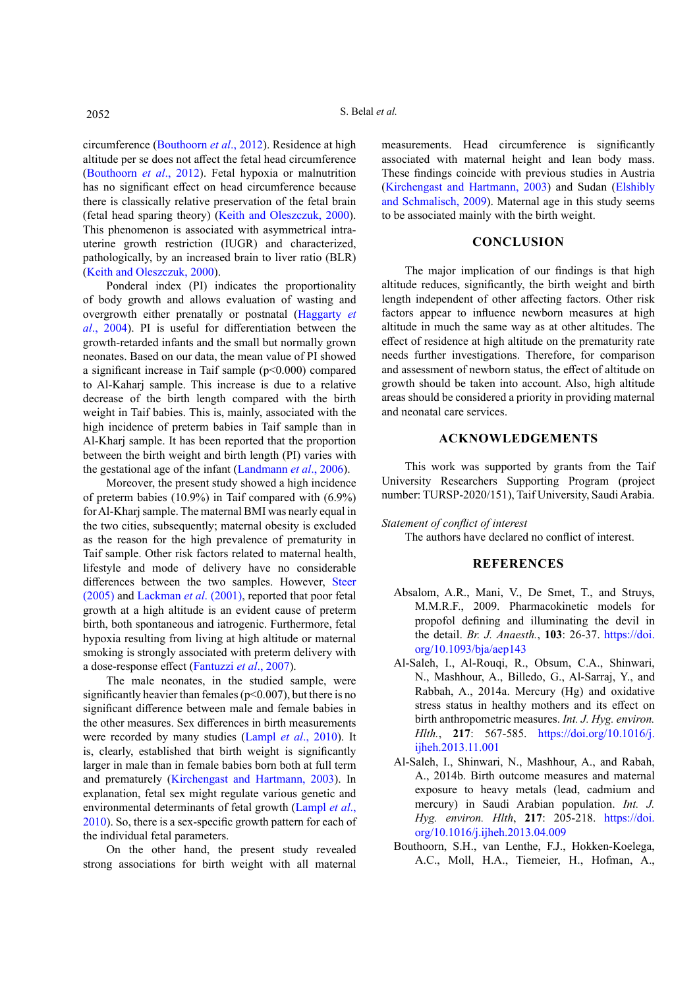circumference ([Bouthoorn](#page-5-2) *et al*., 2012). Residence at high altitude per se does not affect the fetal head circumference [\(Bouthoorn](#page-5-2) *et al*., 2012). Fetal hypoxia or malnutrition has no significant effect on head circumference because there is classically relative preservation of the fetal brain (fetal head sparing theory) [\(Keith and Oleszczuk, 2000\)](#page-6-8). This phenomenon is associated with asymmetrical intrauterine growth restriction (IUGR) and characterized, pathologically, by an increased brain to liver ratio (BLR) [\(Keith and Oleszczuk, 2000](#page-6-8)).

Ponderal index (PI) indicates the proportionality of body growth and allows evaluation of wasting and overgrowth either prenatally or postnatal ([Haggarty](#page-6-9) *et al*[., 2004](#page-6-9)). PI is useful for differentiation between the growth-retarded infants and the small but normally grown neonates. Based on our data, the mean value of PI showed a significant increase in Taif sample  $(p<0.000)$  compared to Al-Kaharj sample. This increase is due to a relative decrease of the birth length compared with the birth weight in Taif babies. This is, mainly, associated with the high incidence of preterm babies in Taif sample than in Al-Kharj sample. It has been reported that the proportion between the birth weight and birth length (PI) varies with the gestational age of the infant [\(Landmann](#page-6-10) *et al*., 2006).

Moreover, the present study showed a high incidence of preterm babies (10.9%) in Taif compared with (6.9%) for Al-Kharj sample. The maternal BMI was nearly equal in the two cities, subsequently; maternal obesity is excluded as the reason for the high prevalence of prematurity in Taif sample. Other risk factors related to maternal health, lifestyle and mode of delivery have no considerable differences between the two samples. However, [Steer](#page-7-6) [\(2005\)](#page-7-6) and [Lackman](#page-6-11) *et al*. (2001), reported that poor fetal growth at a high altitude is an evident cause of preterm birth, both spontaneous and iatrogenic. Furthermore, fetal hypoxia resulting from living at high altitude or maternal smoking is strongly associated with preterm delivery with a dose-response effect ([Fantuzzi](#page-6-12) *et al*., 2007).

The male neonates, in the studied sample, were significantly heavier than females ( $p<0.007$ ), but there is no significant difference between male and female babies in the other measures. Sex differences in birth measurements were recorded by many studies (Lampl *et al*[., 2010](#page-6-13)). It is, clearly, established that birth weight is significantly larger in male than in female babies born both at full term and prematurely ([Kirchengast and Hartmann, 2003\)](#page-6-14). In explanation, fetal sex might regulate various genetic and environmental determinants of fetal growth ([Lampl](#page-6-13) *et al*., [2010](#page-6-13)). So, there is a sex-specific growth pattern for each of the individual fetal parameters.

On the other hand, the present study revealed strong associations for birth weight with all maternal measurements. Head circumference is significantly associated with maternal height and lean body mass. These findings coincide with previous studies in Austria [\(Kirchengast and Hartmann, 2003](#page-6-14)) and Sudan ([Elshibly](#page-6-15)  [and Schmalisch, 2009\)](#page-6-15). Maternal age in this study seems to be associated mainly with the birth weight.

# **CONCLUSION**

The major implication of our findings is that high altitude reduces, significantly, the birth weight and birth length independent of other affecting factors. Other risk factors appear to influence newborn measures at high altitude in much the same way as at other altitudes. The effect of residence at high altitude on the prematurity rate needs further investigations. Therefore, for comparison and assessment of newborn status, the effect of altitude on growth should be taken into account. Also, high altitude areas should be considered a priority in providing maternal and neonatal care services.

# **ACKNOWLEDGEMENTS**

This work was supported by grants from the Taif University Researchers Supporting Program (project number: TURSP-2020/151), Taif University, Saudi Arabia.

#### *Statement of conflict of interest*

The authors have declared no conflict of interest.

## **REFERENCES**

- <span id="page-5-1"></span>Absalom, A.R., Mani, V., De Smet, T., and Struys, M.M.R.F., 2009. Pharmacokinetic models for propofol defining and illuminating the devil in the detail. *Br. J. Anaesth.*, **103**: 26-37. [https://doi.](https://doi.org/10.1093/bja/aep143) [org/10.1093/bja/aep143](https://doi.org/10.1093/bja/aep143)
- <span id="page-5-0"></span>Al-Saleh, I., Al-Rouqi, R., Obsum, C.A., Shinwari, N., Mashhour, A., Billedo, G., Al-Sarraj, Y., and Rabbah, A., 2014a. Mercury (Hg) and oxidative stress status in healthy mothers and its effect on birth anthropometric measures. *Int. J. Hyg. environ. Hlth.*, **217**: 567-585. [https://doi.org/10.1016/j.](https://doi.org/10.1016/j.ijheh.2013.11.001) [ijheh.2013.11.001](https://doi.org/10.1016/j.ijheh.2013.11.001)
- Al-Saleh, I., Shinwari, N., Mashhour, A., and Rabah, A., 2014b. Birth outcome measures and maternal exposure to heavy metals (lead, cadmium and mercury) in Saudi Arabian population. *Int. J. Hyg. environ. Hlth*, **217**: 205-218. [https://doi.](https://doi.org/10.1016/j.ijheh.2013.04.009) [org/10.1016/j.ijheh.2013.04.009](https://doi.org/10.1016/j.ijheh.2013.04.009)
- <span id="page-5-2"></span>Bouthoorn, S.H., van Lenthe, F.J., Hokken-Koelega, A.C., Moll, H.A., Tiemeier, H., Hofman, A.,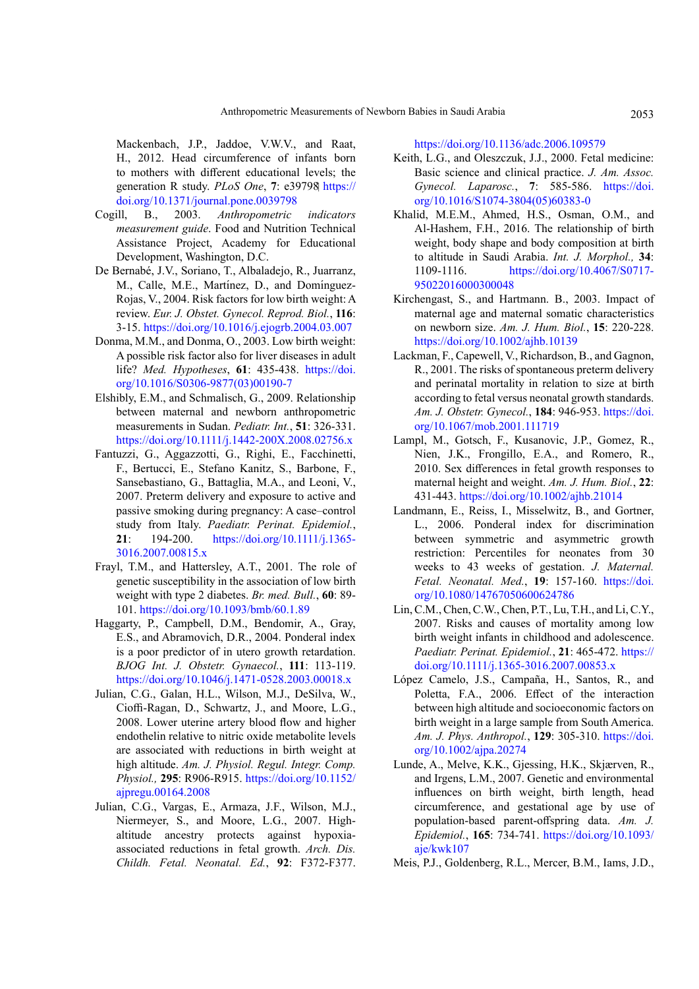Mackenbach, J.P., Jaddoe, V.W.V., and Raat, H., 2012. Head circumference of infants born to mothers with different educational levels; the generation R study. *PLoS One*, **7**: e39798 [https://](https://doi.org/10.1371/journal.pone.0039798) [doi.org/10.1371/journal.pone.0039798](https://doi.org/10.1371/journal.pone.0039798)

- <span id="page-6-7"></span>Cogill, B., 2003. *Anthropometric indicators measurement guide*. Food and Nutrition Technical Assistance Project, Academy for Educational Development, Washington, D.C.
- De Bernabé, J.V., Soriano, T., Albaladejo, R., Juarranz, M., Calle, M.E., Martínez, D., and Domínguez-Rojas, V., 2004. Risk factors for low birth weight: A review. *Eur. J. Obstet. Gynecol. Reprod. Biol.*, **116**: 3-15.<https://doi.org/10.1016/j.ejogrb.2004.03.007>
- <span id="page-6-5"></span>Donma, M.M., and Donma, O., 2003. Low birth weight: A possible risk factor also for liver diseases in adult life? *Med. Hypotheses*, **61**: 435-438. [https://doi.](https://doi.org/10.1016/S0306-9877(03)00190-7) [org/10.1016/S0306-9877\(03\)00190-7](https://doi.org/10.1016/S0306-9877(03)00190-7)
- <span id="page-6-15"></span>Elshibly, E.M., and Schmalisch, G., 2009. Relationship between maternal and newborn anthropometric measurements in Sudan. *Pediatr. Int.*, **51**: 326-331. <https://doi.org/10.1111/j.1442-200X.2008.02756.x>
- <span id="page-6-12"></span>Fantuzzi, G., Aggazzotti, G., Righi, E., Facchinetti, F., Bertucci, E., Stefano Kanitz, S., Barbone, F., Sansebastiano, G., Battaglia, M.A., and Leoni, V., 2007. Preterm delivery and exposure to active and passive smoking during pregnancy: A case–control study from Italy. *Paediatr. Perinat. Epidemiol.*, **21**: 194-200. [https://doi.org/10.1111/j.1365-](https://doi.org/10.1111/j.1365-3016.2007.00815.x) [3016.2007.00815.x](https://doi.org/10.1111/j.1365-3016.2007.00815.x)
- <span id="page-6-4"></span>Frayl, T.M., and Hattersley, A.T., 2001. The role of genetic susceptibility in the association of low birth weight with type 2 diabetes. *Br. med. Bull.*, **60**: 89- 101.<https://doi.org/10.1093/bmb/60.1.89>
- <span id="page-6-9"></span>Haggarty, P., Campbell, D.M., Bendomir, A., Gray, E.S., and Abramovich, D.R., 2004. Ponderal index is a poor predictor of in utero growth retardation. *BJOG Int. J. Obstetr. Gynaecol.*, **111**: 113-119. <https://doi.org/10.1046/j.1471-0528.2003.00018.x>
- <span id="page-6-1"></span>Julian, C.G., Galan, H.L., Wilson, M.J., DeSilva, W., Cioffi-Ragan, D., Schwartz, J., and Moore, L.G., 2008. Lower uterine artery blood flow and higher endothelin relative to nitric oxide metabolite levels are associated with reductions in birth weight at high altitude. *Am. J. Physiol. Regul. Integr. Comp. Physiol.,* **295**: R906-R915. [https://doi.org/10.1152/](https://doi.org/10.1152/ajpregu.00164.2008) [ajpregu.00164.2008](https://doi.org/10.1152/ajpregu.00164.2008)
- <span id="page-6-2"></span>Julian, C.G., Vargas, E., Armaza, J.F., Wilson, M.J., Niermeyer, S., and Moore, L.G., 2007. Highaltitude ancestry protects against hypoxiaassociated reductions in fetal growth. *Arch. Dis. Childh. Fetal. Neonatal. Ed.*, **92**: F372-F377.

<https://doi.org/10.1136/adc.2006.109579>

- <span id="page-6-8"></span>Keith, L.G., and Oleszczuk, J.J., 2000. Fetal medicine: Basic science and clinical practice. *J. Am. Assoc. Gynecol. Laparosc.*, **7**: 585-586. [https://doi.](https://doi.org/10.1016/S1074-3804(05)60383-0) [org/10.1016/S1074-3804\(05\)60383-0](https://doi.org/10.1016/S1074-3804(05)60383-0)
- <span id="page-6-0"></span>Khalid, M.E.M., Ahmed, H.S., Osman, O.M., and Al-Hashem, F.H., 2016. The relationship of birth weight, body shape and body composition at birth to altitude in Saudi Arabia. *Int. J. Morphol.,* **34**: 1109-1116. [https://doi.org/10.4067/S0717-](https://doi.org/10.4067/S0717-95022016000300048) [95022016000300048](https://doi.org/10.4067/S0717-95022016000300048)
- <span id="page-6-14"></span>Kirchengast, S., and Hartmann. B., 2003. Impact of maternal age and maternal somatic characteristics on newborn size. *Am. J. Hum. Biol.*, **15**: 220-228. <https://doi.org/10.1002/ajhb.10139>
- <span id="page-6-11"></span>Lackman, F., Capewell, V., Richardson, B., and Gagnon, R., 2001. The risks of spontaneous preterm delivery and perinatal mortality in relation to size at birth according to fetal versus neonatal growth standards. *Am. J. Obstetr. Gynecol.*, **184**: 946-953. [https://doi.](https://doi.org/10.1067/mob.2001.111719) [org/10.1067/mob.2001.111719](https://doi.org/10.1067/mob.2001.111719)
- <span id="page-6-13"></span>Lampl, M., Gotsch, F., Kusanovic, J.P., Gomez, R., Nien, J.K., Frongillo, E.A., and Romero, R., 2010. Sex differences in fetal growth responses to maternal height and weight. *Am. J. Hum. Biol.*, **22**: 431-443.<https://doi.org/10.1002/ajhb.21014>
- <span id="page-6-10"></span>Landmann, E., Reiss, I., Misselwitz, B., and Gortner, L., 2006. Ponderal index for discrimination between symmetric and asymmetric growth restriction: Percentiles for neonates from 30 weeks to 43 weeks of gestation. *J. Maternal. Fetal. Neonatal. Med.*, **19**: 157-160. [https://doi.](https://doi.org/10.1080/14767050600624786) [org/10.1080/14767050600624786](https://doi.org/10.1080/14767050600624786)
- <span id="page-6-3"></span>Lin, C.M., Chen, C.W., Chen, P.T., Lu, T.H., and Li, C.Y., 2007. Risks and causes of mortality among low birth weight infants in childhood and adolescence. *Paediatr. Perinat. Epidemiol.*, **21**: 465-472. [https://](https://doi.org/10.1111/j.1365-3016.2007.00853.x) [doi.org/10.1111/j.1365-3016.2007.00853.x](https://doi.org/10.1111/j.1365-3016.2007.00853.x)
- López Camelo, J.S., Campaña, H., Santos, R., and Poletta, F.A., 2006. Effect of the interaction between high altitude and socioeconomic factors on birth weight in a large sample from South America. *Am. J. Phys. Anthropol.*, **129**: 305-310. [https://doi.](https://doi.org/10.1002/ajpa.20274) [org/10.1002/ajpa.20274](https://doi.org/10.1002/ajpa.20274)
- Lunde, A., Melve, K.K., Gjessing, H.K., Skjærven, R., and Irgens, L.M., 2007. Genetic and environmental influences on birth weight, birth length, head circumference, and gestational age by use of population-based parent-offspring data. *Am. J. Epidemiol.*, **165**: 734-741. [https://doi.org/10.1093/](https://doi.org/10.1093/aje/kwk107) [aje/kwk107](https://doi.org/10.1093/aje/kwk107)
- <span id="page-6-6"></span>Meis, P.J., Goldenberg, R.L., Mercer, B.M., Iams, J.D.,